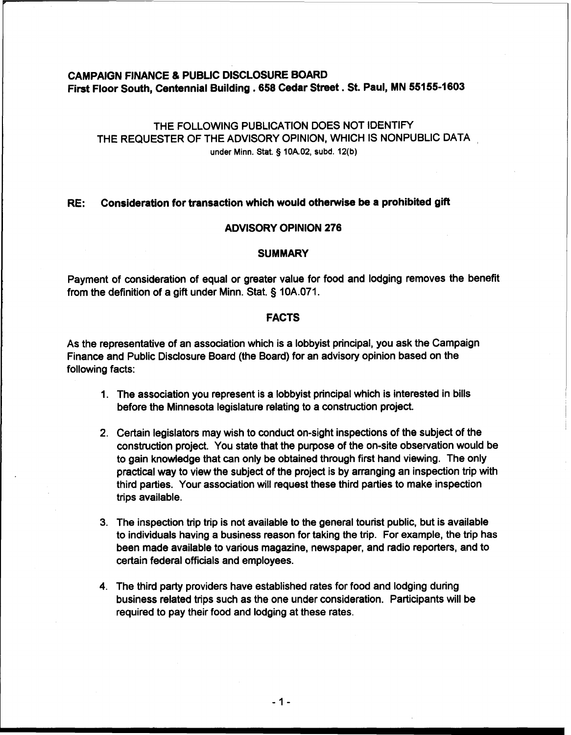# **CAMPAIGN FINANCE** & **PUBLIC DISCLOSURE BOARD**  First Floor South, Centennial Building . 658 Cedar Street . St. Paul, MN 55155-1603

# THE FOLLOWING PUBLICATION DOES NOT IDENTIFY THE REQUESTER OF THE ADVISORY OPINION, WHICH IS NONPUBLIC DATA , **under Minn. Stat. 3 10A.02, subd. 12(b)**

### **RE: Consideration for transaction which would otherwise be a prohibited gift**

# **ADVISORY OPINION 276**

### **SUMMARY**

Payment of consideration of equal or greater value for food and lodging removes the benefit from the definition of a gift under Minn. Stat. § 10A.071.

# **FACTS**

As the representative of an association which is a lobbyist principal, you ask the Campaign Finance and Public Disclosure Board (the Board) for an advisory opinion based on the following facts:

- 1. The association you represent is a lobbyist principal which is interested in bills before the Minnesota legislature relating to a construction project.
- 2. Certain legislators may wish to conduct on-sight inspections of the subject of the construction project. You state that the purpose of the on-site observation would be to gain knowledge that can only be obtained through first hand viewing. The only practical way to view the subject of the project is by arranging an inspection trip with third parties. Your association will request these third parties to make inspection trips available.
- 3. The inspection trip trip is not available to the general tourist public, but is available to individuals having a business reason for taking the trip. For example, the trip has been made available to various magazine, newspaper, and radio reporters, and to certain federal officials and employees.
- 4. The third party providers have established rates for food and lodging during business related trips such as the one under consideration. Participants will be required to pay their food and lodging at these rates.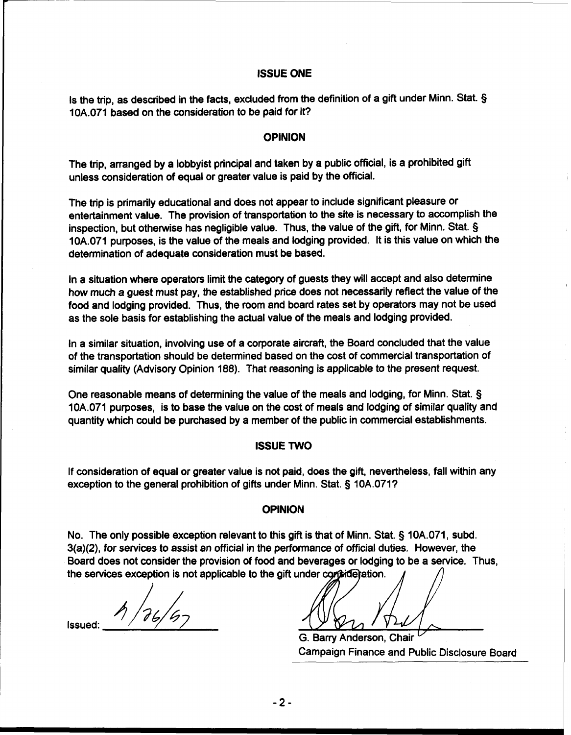### **ISSUE ONE**

Is the trip, as described in the facts, excluded from the definition of a gift under Minn. Stat. § 10A.071 based on the consideration to be paid for it?

#### **OPINION**

The trip, arranged by a lobbyist principal and taken by a public official, is a prohibited gift unless consideration of equal or greater value is paid by the official.

The trip is primarily educational and does not appear to include significant pleasure or entertainment value. The provision of transportation to the site is necessary to accomplish the inspection, but otherwise has negligible value. Thus, the value of the gift, for Minn. Stat. § 10A.071 purposes, is the value of the meals and lodging provided. It is this value on which the determination of adequate consideration must be based.

In a situation where operators limit the category of guests they will accept and also determine how much a guest must pay, the established price does not necessarily reflect the value of the food and lodging provided. Thus, the room and board rates set by operators may not be used as the sole basis for establishing the actual value of the meals and lodging provided.

In a similar situation, involving use of a corporate aircraft, the Board concluded that the value of the transportation should be determined based on the cost of commercial transportation of similar quality (Advisory Opinion 188). That reasoning is applicable to the present request.

One reasonable means of determining the value of the meals and lodging, for Minn. Stat. § 10A.071 purposes, is to base the value on the cost of meals and lodging of similar quality and quantity which could be purchased by a member of the public in commercial establishments.

#### **ISSUE TWO**

If consideration of equal or greater value is not paid, does the gift, nevertheless, fall within any exception to the general prohibition of gifts under Minn. Stat. § 10A.071?

#### **OPINION**

No. The only possible exception relevant to this gift is that of Minn. Stat. § 10A.071, subd. 3(a)(2), for services to assist an official in the performance of official duties. However, the Board does not consider the provision of food and beverages or lodging to be a service. Thus, the services exception is not applicable to the gift under consideration.

 $4/76/6$ Issued:

G. Barry Anderson, Chair Campaign Finance and Public Disclosure Board

 $-2-$